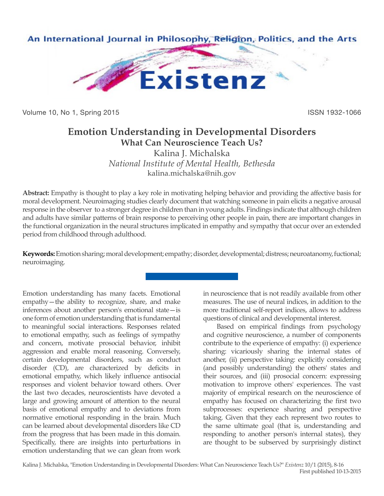

Volume 10, No 1, Spring 2015 **ISSN 1932-1066** ISSN 1932-1066

# **Emotion Understanding in Developmental Disorders**

**What Can Neuroscience Teach Us?**

Kalina J. Michalska *National Institute of Mental Health, Bethesda* kalina.michalska@nih.gov

**Abstract:** Empathy is thought to play a key role in motivating helping behavior and providing the affective basis for moral development. Neuroimaging studies clearly document that watching someone in pain elicits a negative arousal response in the observer to a stronger degree in children than in young adults. Findings indicate that although children and adults have similar patterns of brain response to perceiving other people in pain, there are important changes in the functional organization in the neural structures implicated in empathy and sympathy that occur over an extended period from childhood through adulthood.

**Keywords:** Emotion sharing; moral development; empathy; disorder, developmental; distress; neuroatanomy, fuctional; neuroimaging.

Emotion understanding has many facets. Emotional empathy—the ability to recognize, share, and make inferences about another person's emotional state—is one form of emotion understanding that is fundamental to meaningful social interactions. Responses related to emotional empathy, such as feelings of sympathy and concern, motivate prosocial behavior, inhibit aggression and enable moral reasoning. Conversely, certain developmental disorders, such as conduct disorder (CD), are characterized by deficits in emotional empathy, which likely influence antisocial responses and violent behavior toward others. Over the last two decades, neuroscientists have devoted a large and growing amount of attention to the neural basis of emotional empathy and to deviations from normative emotional responding in the brain. Much can be learned about developmental disorders like CD from the progress that has been made in this domain. Specifically, there are insights into perturbations in emotion understanding that we can glean from work

in neuroscience that is not readily available from other measures. The use of neural indices, in addition to the more traditional self-report indices, allows to address questions of clinical and developmental interest.

Based on empirical findings from psychology and cognitive neuroscience, a number of components contribute to the experience of empathy: (i) experience sharing: vicariously sharing the internal states of another, (ii) perspective taking: explicitly considering (and possibly understanding) the others' states and their sources, and (iii) prosocial concern: expressing motivation to improve others' experiences. The vast majority of empirical research on the neuroscience of empathy has focused on characterizing the first two subprocesses: experience sharing and perspective taking. Given that they each represent two routes to the same ultimate goal (that is, understanding and responding to another person's internal states), they are thought to be subserved by surprisingly distinct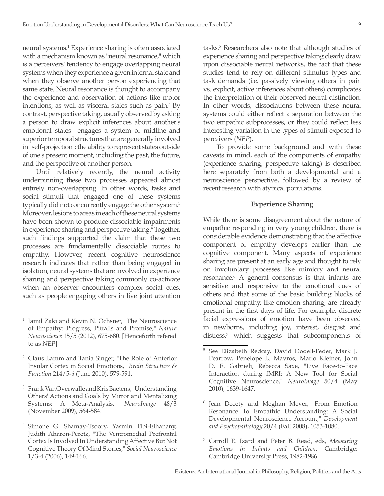neural systems.1 Experience sharing is often associated with a mechanism known as "neural resonance," which is a perceivers' tendency to engage overlapping neural systems when they experience a given internal state and when they observe another person experiencing that same state. Neural resonance is thought to accompany the experience and observation of actions like motor intentions, as well as visceral states such as pain.<sup>2</sup> By contrast, perspective taking, usually observed by asking a person to draw explicit inferences about another's emotional states—engages a system of midline and superior temporal structures that are generally involved in "self-projection": the ability to represent states outside of one's present moment, including the past, the future, and the perspective of another person.

Until relatively recently, the neural activity underpinning these two processes appeared almost entirely non-overlapping. In other words, tasks and social stimuli that engaged one of these systems typically did not concurrently engage the other system.<sup>3</sup> Moreover, lesions to areas in each of these neural systems have been shown to produce dissociable impairments in experience sharing and perspective taking.4 Together, such findings supported the claim that these two processes are fundamentally dissociable routes to empathy. However, recent cognitive neuroscience research indicates that rather than being engaged in isolation, neural systems that are involved in experience sharing and perspective taking commonly co-activate when an observer encounters complex social cues, such as people engaging others in live joint attention

- <sup>3</sup> Frank Van Overwalle and Kris Baetens, "Understanding Others' Actions and Goals by Mirror and Mentalizing Systems: A Meta-Analysis," *NeuroImage* 48/3 (November 2009), 564-584.
- <sup>4</sup> Simone G. Shamay-Tsoory, Yasmin Tibi-Elhanany, Judith Aharon-Peretz, "The Ventromedial Prefrontal Cortex Is Involved In Understanding Affective But Not Cognitive Theory Of Mind Stories," *Social Neuroscience* 1/3-4 (2006), 149-166.

tasks.5 Researchers also note that although studies of experience sharing and perspective taking clearly draw upon dissociable neural networks, the fact that these studies tend to rely on different stimulus types and task demands (i.e. passively viewing others in pain vs. explicit, active inferences about others) complicates the interpretation of their observed neural distinction. In other words, dissociations between these neural systems could either reflect a separation between the two empathic subprocesses, or they could reflect less interesting variation in the types of stimuli exposed to perceivers (*NEP*).

To provide some background and with these caveats in mind, each of the components of empathy (experience sharing, perspective taking) is described here separately from both a developmental and a neuroscience perspective, followed by a review of recent research with atypical populations.

## **Experience Sharing**

While there is some disagreement about the nature of empathic responding in very young children, there is considerable evidence demonstrating that the affective component of empathy develops earlier than the cognitive component. Many aspects of experience sharing are present at an early age and thought to rely on involuntary processes like mimicry and neural resonance.<sup>6</sup> A general consensus is that infants are sensitive and responsive to the emotional cues of others and that some of the basic building blocks of emotional empathy, like emotion sharing, are already present in the first days of life. For example, discrete facial expressions of emotion have been observed in newborns, including joy, interest, disgust and distress,<sup>7</sup> which suggests that subcomponents of

Jamil Zaki and Kevin N. Ochsner, "The Neuroscience of Empathy: Progress, Pitfalls and Promise," *Nature Neuroscience* 15/5 (2012), 675-680. [Henceforth refered to as *NEP*]

<sup>2</sup> Claus Lamm and Tania Singer, "The Role of Anterior Insular Cortex in Social Emotions," *Brain Structure & Function* 214/5-6 (June 2010), 579-591.

<sup>5</sup> See Elizabeth Redcay, David Dodell-Feder, Mark J. Pearrow, Penelope L. Mavros, Mario Kleiner, John D. E. Gabrieli, Rebecca Saxe, "Live Face-to-Face Interaction during fMRI: A New Tool for Social Cognitive Neuroscience," *NeuroImage* 50/4 (May 2010), 1639-1647.

<sup>6</sup> Jean Decety and Meghan Meyer, "From Emotion Resonance To Empathic Understanding: A Social Developmental Neuroscience Account," *Development and Psychopathology* 20/4 (Fall 2008), 1053-1080.

<sup>7</sup> Carroll E. Izard and Peter B. Read, eds, *Measuring Emotions in Infants and Children*, Cambridge: Cambridge University Press, 1982-1986.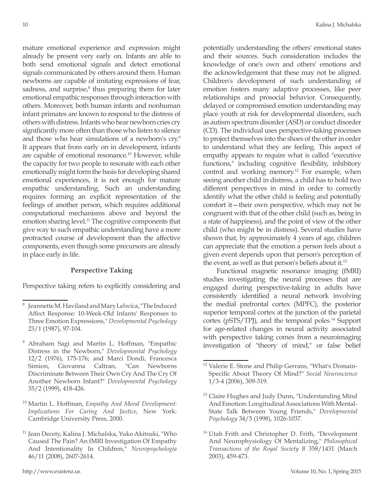mature emotional experience and expression might already be present very early on. Infants are able to both send emotional signals and detect emotional signals communicated by others around them. Human newborns are capable of imitating expressions of fear, sadness, and surprise,<sup>8</sup> thus preparing them for later emotional empathic responses through interaction with others. Moreover, both human infants and nonhuman infant primates are known to respond to the distress of others with distress. Infants who hear newborn cries cry significantly more often than those who listen to silence and those who hear simulations of a newborn's cry.<sup>9</sup> It appears that from early on in development, infants are capable of emotional resonance.10 However, while the capacity for two people to resonate with each other emotionally might form the basis for developing shared emotional experiences, it is not enough for mature empathic understanding. Such an understanding requires forming an explicit representation of the feelings of another person, which requires additional computational mechanisms above and beyond the emotion sharing level.<sup>11</sup> The cognitive components that give way to such empathic understanding have a more protracted course of development than the affective components, even though some precursors are already in place early in life.

### **Perspective Taking**

Perspective taking refers to explicitly considering and

potentially understanding the others' emotional states and their sources. Such consideration includes the knowledge of one's own and others' emotions and the acknowledgement that these may not be aligned. Children's development of such understanding of emotion fosters many adaptive processes, like peer relationships and prosocial behavior. Consequently, delayed or compromised emotion understanding may place youth at risk for developmental disorders, such as autism spectrum disorder (ASD) or conduct disorder (CD). The individual uses perspective-taking processes to project themselves into the shoes of the other in order to understand what they are feeling. This aspect of empathy appears to require what is called "executive functions," including cognitive flexibility, inhibitory control and working memory.<sup>12</sup> For example, when seeing another child in distress, a child has to hold two different perspectives in mind in order to correctly identify what the other child is feeling and potentially comfort it—their own perspective, which may not be congruent with that of the other child (such as, being in a state of happiness), and the point of view of the other child (who might be in distress). Several studies have shown that, by approximately 4 years of age, children can appreciate that the emotion a person feels about a given event depends upon that person's perception of the event, as well as that person's beliefs about it.<sup>13</sup>

Functional magnetic resonance imaging (fMRI) studies investigating the neural processes that are engaged during perspective-taking in adults have consistently identified a neural network involving the medial prefrontal cortex (MPFC), the posterior superior temporal cortex at the junction of the parietal cortex (pSTS/TPJ), and the temporal poles.14 Support for age-related changes in neural activity associated with perspective taking comes from a neuroimaging investigation of "theory of mind," or false belief

Jeannette M. Haviland and Mary Lelwica, "The Induced Affect Response: 10-Week-Old Infants' Responses to Three Emotion Expressions," *Developmental Psychology* 23/1 (1987), 97-104.

<sup>9</sup> Abraham Sagi and Martin L. Hoffman, "Empathic Distress in the Newborn," *Developmental Psychology* 12/2 (1976), 175-176; and Marci Dondi, Francesca Simion, Giovanna Caltran, "Can Newborns Discriminate Between Their Own Cry And The Cry Of Another Newborn Infant?" *Developmental Psychology* 35/2 (1999), 418-426.

<sup>10</sup> Martin L. Hoffman, *Empathy And Moral Development: Implications For Caring And Justice*, New York: Cambridge University Press, 2000.

<sup>11</sup> Jean Decety, Kalina J. Michalska, Yuko Akitsuki, "Who Caused The Pain? An fMRI Investigation Of Empathy And Intentionality In Children," *Neuropsychologia* 46/11 (2008), 2607-2614.

<sup>12</sup> Valerie E. Stone and Philip Gerrans, "What's Domain-Specific About Theory Of Mind?" *Social Neuroscience* 1/3-4 (2006), 309-319.

<sup>&</sup>lt;sup>13</sup> Claire Hughes and Judy Dunn, "Understanding Mind And Emotion: Longitudinal Associations With Mental-State Talk Between Young Friends," *Developmental Psychology* 34/5 (1998), 1026-1037.

<sup>&</sup>lt;sup>14</sup> Utah Frith and Christopher D. Frith, "Development And Neurophysiology Of Mentalizing," *Philosophical Transactions of the Royal Society B* 358/1431 (March 2003), 459-473.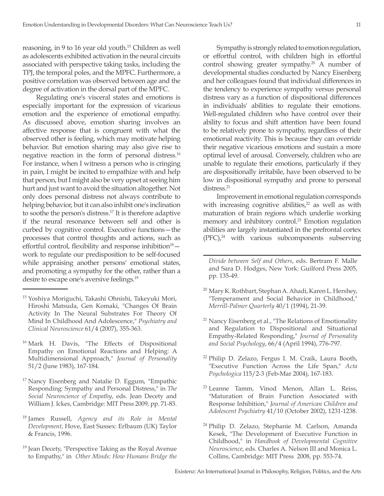reasoning, in 9 to 16 year old youth.15 Children as well as adolescents exhibited activation in the neural circuits associated with perspective taking tasks, including the TPJ, the temporal poles, and the MPFC. Furthermore, a positive correlation was observed between age and the degree of activation in the dorsal part of the MPFC.

Regulating one's visceral states and emotions is especially important for the expression of vicarious emotion and the experience of emotional empathy. As discussed above, emotion sharing involves an affective response that is congruent with what the observed other is feeling, which may motivate helping behavior. But emotion sharing may also give rise to negative reaction in the form of personal distress.16 For instance, when I witness a person who is cringing in pain, I might be incited to empathize with and help that person, but I might also be very upset at seeing him hurt and just want to avoid the situation altogether. Not only does personal distress not always contribute to helping behavior, but it can also inhibit one's inclination to soothe the person's distress.17 It is therefore adaptive if the neural resonance between self and other is curbed by cognitive control. Executive functions—the processes that control thoughts and actions, such as effortful control, flexibility and response inhibition $18$ work to regulate our predisposition to be self-focused while appraising another persons' emotional states, and promoting a sympathy for the other, rather than a desire to escape one's aversive feelings.<sup>19</sup>

- <sup>16</sup> Mark H. Davis, "The Effects of Dispositional Empathy on Emotional Reactions and Helping: A Multidimensional Approach," *Journal of Personality* 51/2 (June 1983), 167-184.
- <sup>17</sup> Nancy Eisenberg and Natalie D. Eggum, "Empathic Responding: Sympathy and Personal Distress," in *The Social Neuroscience of Empathy*, eds. Jean Decety and William J. Ickes, Cambridge: MIT Press 2009, pp. 71-83.
- <sup>18</sup> James Russell, *Agency and its Role in Mental Development*, Hove, East Sussex: Erlbaum (UK) Taylor & Francis, 1996.
- <sup>19</sup> Jean Decety, "Perspective Taking as the Royal Avenue to Empathy," in *Other Minds: How Humans Bridge the*

Sympathy is strongly related to emotion regulation, or effortful control, with children high in effortful control showing greater sympathy.<sup>20</sup> A number of developmental studies conducted by Nancy Eisenberg and her colleagues found that individual differences in the tendency to experience sympathy versus personal distress vary as a function of dispositional differences in individuals' abilities to regulate their emotions. Well-regulated children who have control over their ability to focus and shift attention have been found to be relatively prone to sympathy, regardless of their emotional reactivity. This is because they can override their negative vicarious emotions and sustain a more optimal level of arousal. Conversely, children who are unable to regulate their emotions, particularly if they are dispositionally irritabile, have been observed to be low in dispositional sympathy and prone to personal distress.<sup>21</sup>

Improvement in emotional regulation corresponds with increasing cognitive abilities, $2^2$  as well as with maturation of brain regions which underlie working memory and inhibitory control.<sup>23</sup> Emotion regulation abilities are largely instantiated in the prefrontal cortex  $(PFC)<sup>24</sup>$  with various subcomponents subserving

- <sup>20</sup> Mary K. Rothbart, Stephan A. Ahadi, Karen L. Hershey, "Temperament and Social Behavior in Childhood," *Merrill-Palmer Quarterly* 40/1 (1994), 21-39.
- <sup>21</sup> Nancy Eisenberg et al., "The Relations of Emotionality and Regulation to Dispositional and Situational Empathy-Related Responding," *Journal of Personality and Social Psychology*, 66/4 (April 1994), 776-797.
- <sup>22</sup> Philip D. Zelazo, Fergus I. M. Craik, Laura Booth, "Executive Function Across the Life Span," *Acta Psychologica* 115/2-3 (Feb-Mar 2004), 167-183.
- <sup>23</sup> Leanne Tamm, Vinod Menon, Allan L. Reiss, "Maturation of Brain Function Associated with Response Inhibition," *Journal of American Children and Adolescent Psychiatry* 41/10 (October 2002), 1231-1238.
- <sup>24</sup> Philip D. Zelazo, Stephanie M. Carlson, Amanda Kesek, "The Development of Executive Function in Childhood," in *Handbook of Developmental Cognitive Neuroscience*, eds. Charles A. Nelson III and Monica L. Collins, Cambridge: MIT Press 2008, pp. 553-74.

<sup>15</sup> Yoshiya Moriguchi, Takashi Ohnishi, Takeyuki Mori, Hiroshi Matsuda, Gen Komaki, "Changes Of Brain Activity In The Neural Substrates For Theory Of Mind In Childhood And Adolescence," *Psychiatry and Clinical Neuroscience* 61/4 (2007), 355-363.

*Divide between Self and Others*, eds. Bertram F. Malle and Sara D. Hodges, New York: Guilford Press 2005, pp. 135-49.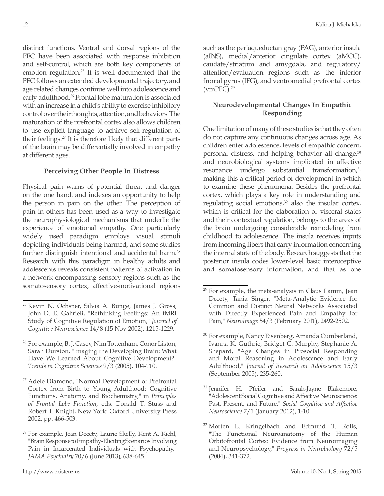distinct functions. Ventral and dorsal regions of the PFC have been associated with response inhibition and self-control, which are both key components of emotion regulation.25 It is well documented that the PFC follows an extended developmental trajectory, and age related changes continue well into adolescence and early adulthood.<sup>26</sup> Frontal lobe maturation is associated with an increase in a child's ability to exercise inhibitory control over their thoughts, attention, and behaviors. The maturation of the prefrontal cortex also allows children to use explicit language to achieve self-regulation of their feelings.27 It is therefore likely that different parts of the brain may be differentially involved in empathy at different ages.

## **Perceiving Other People In Distress**

Physical pain warns of potential threat and danger on the one hand, and indexes an opportunity to help the person in pain on the other. The perception of pain in others has been used as a way to investigate the neurophysiological mechanisms that underlie the experience of emotional empathy. One particularly widely used paradigm employs visual stimuli depicting individuals being harmed, and some studies further distinguish intentional and accidental harm.<sup>28</sup> Research with this paradigm in healthy adults and adolescents reveals consistent patterns of activation in a network encompassing sensory regions such as the somatosensory cortex, affective-motivational regions

such as the periaqueductan gray (PAG), anterior insula (aINS), medial/anterior cingulate cortex (aMCC), caudate/striatum and amygdala, and regulatory/ attention/evaluation regions such as the inferior frontal gyrus (IFG), and ventromedial prefrontal cortex  $(wmPFC).<sup>29</sup>$ 

# **Neurodevelopmental Changes In Empathic Responding**

One limitation of many of these studies is that they often do not capture any continuous changes across age. As children enter adolescence, levels of empathic concern, personal distress, and helping behavior all change,<sup>30</sup> and neurobiological systems implicated in affective resonance undergo substantial transformation,<sup>31</sup> making this a critical period of development in which to examine these phenomena. Besides the prefrontal cortex, which plays a key role in understanding and regulating social emotions, $32$  also the insular cortex, which is critical for the elaboration of visceral states and their contextual regulation, belongs to the areas of the brain undergoing considerable remodeling from childhood to adolescence. The insula receives inputs from incoming fibers that carry information concerning the internal state of the body. Research suggests that the posterior insula codes lower-level basic interoceptive and somatosensory information, and that as one

<sup>25</sup> Kevin N. Ochsner, Silvia A. Bunge, James J. Gross, John D. E. Gabrieli, "Rethinking Feelings: An fMRI Study of Cognitive Regulation of Emotion," *Journal of Cognitive Neuroscience* 14/8 (15 Nov 2002), 1215-1229.

<sup>&</sup>lt;sup>26</sup> For example, B. J. Casey, Nim Tottenham, Conor Liston, Sarah Durston, "Imaging the Developing Brain: What Have We Learned About Cognitive Development?" *Trends in Cognitive Sciences* 9/3 (2005), 104-110.

<sup>27</sup> Adele Diamond, "Normal Development of Prefrontal Cortex from Birth to Young Adulthood: Cognitive Functions, Anatomy, and Biochemistry," in *Principles of Frontal Lobe Function*, eds. Donald T. Stuss and Robert T. Knight, New York: Oxford University Press 2002, pp. 466-503.

<sup>&</sup>lt;sup>28</sup> For example, Jean Decety, Laurie Skelly, Kent A. Kiehl, "Brain Response to Empathy-Eliciting Scenarios Involving Pain in Incarcerated Individuals with Psychopathy," *JAMA Psychiatry* 70/6 (June 2013), 638-645.

 $29$  For example, the meta-analysis in Claus Lamm, Jean Decety, Tania Singer, "Meta-Analytic Evidence for Common and Distinct Neural Networks Associated with Directly Experienced Pain and Empathy for Pain," *NeuroImage* 54/3 (February 2011), 2492-2502.

<sup>&</sup>lt;sup>30</sup> For example, Nancy Eisenberg, Amanda Cumberland, Ivanna K. Guthrie, Bridget C. Murphy, Stephanie A. Shepard, "Age Changes in Prosocial Responding and Moral Reasoning in Adolescence and Early Adulthood," *Journal of Research on Adolescence* 15/3 (September 2005), 235-260.

<sup>&</sup>lt;sup>31</sup> Jennifer H. Pfeifer and Sarah-Jayne Blakemore, "Adolescent Social Cognitive and Affective Neuroscience: Past, Present, and Future," *Social Cognitive and Affective Neuroscience* 7/1 (January 2012), 1-10.

<sup>&</sup>lt;sup>32</sup> Morten L. Kringelbach and Edmund T. Rolls, "The Functional Neuroanatomy of the Human Orbitofrontal Cortex: Evidence from Neuroimaging and Neuropsychology," *Progress in Neurobiology* 72/5 (2004), 341-372.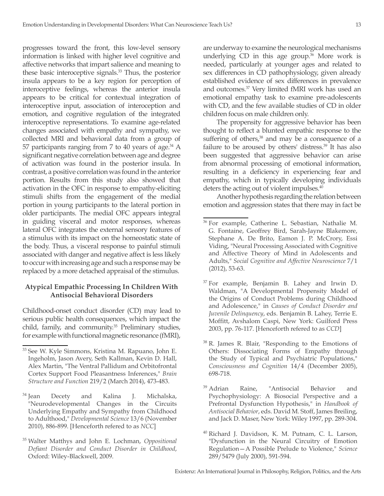progresses toward the front, this low-level sensory information is linked with higher level cognitive and affective networks that impart salience and meaning to these basic interoceptive signals.<sup>33</sup> Thus, the posterior insula appears to be a key region for perception of interoceptive feelings, whereas the anterior insula appears to be critical for contextual integration of interoceptive input, association of interoception and emotion, and cognitive regulation of the integrated interoceptive representations. To examine age-related changes associated with empathy and sympathy, we collected MRI and behavioral data from a group of 57 participants ranging from 7 to 40 years of age. $34$  A significant negative correlation between age and degree of activation was found in the posterior insula. In contrast, a positive correlation was found in the anterior portion. Results from this study also showed that activation in the OFC in response to empathy-eliciting stimuli shifts from the engagement of the medial portion in young participants to the lateral portion in older participants. The medial OFC appears integral in guiding visceral and motor responses, whereas lateral OFC integrates the external sensory features of a stimulus with its impact on the homeostatic state of the body. Thus, a visceral response to painful stimuli associated with danger and negative affect is less likely to occur with increasing age and such a response may be replaced by a more detached appraisal of the stimulus.

# **Atypical Empathic Processing In Children With Antisocial Behavioral Disorders**

Childhood-onset conduct disorder (CD) may lead to serious public health consequences, which impact the child, family, and community.<sup>35</sup> Preliminary studies, for example with functional magnetic resonance (fMRI), are underway to examine the neurological mechanisms underlying CD in this age group.<sup>36</sup> More work is needed, particularly at younger ages and related to sex differences in CD pathophysiology, given already established evidence of sex differences in prevalence and outcomes.37 Very limited fMRI work has used an emotional empathy task to examine pre-adolescents with CD, and the few available studies of CD in older children focus on male children only.

The propensity for aggressive behavior has been thought to reflect a blunted empathic response to the suffering of others,<sup>38</sup> and may be a consequence of a failure to be aroused by others' distress.<sup>39</sup> It has also been suggested that aggressive behavior can arise from abnormal processing of emotional information, resulting in a deficiency in experiencing fear and empathy, which in typically developing individuals deters the acting out of violent impulses.<sup>40</sup>

Another hypothesis regarding the relation between emotion and aggression states that there may in fact be

- <sup>37</sup> For example, Benjamin B. Lahey and Irwin D. Waldman, "A Developmental Propensity Model of the Origins of Conduct Problems during Childhood and Adolescence," in *Causes of Conduct Disorder and Juvenile Delinquency*, eds. Benjamin B. Lahey, Terrie E. Moffitt, Avshalom Caspi, New York: Guilford Press 2003, pp. 76-117. [Henceforth refered to as *CCD*]
- <sup>38</sup> R. James R. Blair, "Responding to the Emotions of Others: Dissociating Forms of Empathy through the Study of Typical and Psychiatric Populations," *Consciousness and Cognition* 14/4 (December 2005), 698-718.
- <sup>39</sup> Adrian Raine, "Antisocial Behavior and Psychophysiology: A Biosocial Perspective and a Prefrontal Dysfunction Hypothesis," in *Handbook of Antisocial Behavior*, eds. David M. Stoff, James Breiling, and Jack D. Maser, New York: Wiley 1997, pp. 289-304.
- <sup>40</sup> Richard J. Davidson, K. M. Putnam, C. L. Larson, "Dysfunction in the Neural Circuitry of Emotion Regulation—A Possible Prelude to Violence," *Science* 289/5479 (July 2000), 591-594.

<sup>&</sup>lt;sup>33</sup> See W. Kyle Simmons, Kristina M. Rapuano, John E. Ingeholm, Jason Avery, Seth Kallman, Kevin D. Hall, Alex Martin, "The Ventral Pallidum and Orbitofrontal Cortex Support Food Pleasantness Inferences," *Brain Structure and Function* 219/2 (March 2014), 473-483.

<sup>&</sup>lt;sup>34</sup> Jean Decety and Kalina J. Michalska, "Neurodevelopmental Changes in the Circuits Underlying Empathy and Sympathy from Childhood to Adulthood," *Developmental Science* 13/6 (November 2010), 886-899. [Henceforth refered to as *NCC*]

<sup>35</sup> Walter Matthys and John E. Lochman, *Oppositional Defiant Disorder and Conduct Disorder in Childhood*, Oxford: Wiley-Blackwell, 2009.

<sup>36</sup> For example, Catherine L. Sebastian, Nathalie M. G. Fontaine, Geoffrey Bird, Sarah-Jayne Blakemore, Stephane A. De Brito, Eamon J. P. McCrory, Essi Viding, "Neural Processing Associated with Cognitive and Affective Theory of Mind in Adolescents and Adults," *Social Cognitive and Affective Neuroscience* 7/1 (2012), 53-63.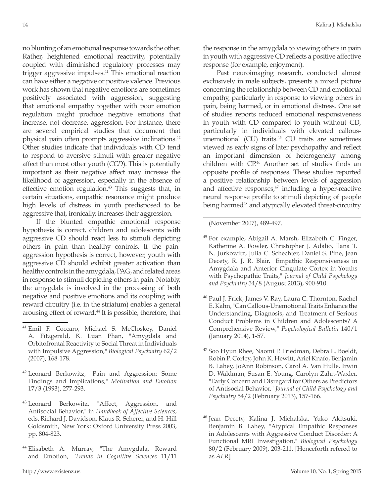no blunting of an emotional response towards the other. Rather, heightened emotional reactivity, potentially coupled with diminished regulatory processes may trigger aggressive impulses.41 This emotional reaction can have either a negative or positive valence. Previous work has shown that negative emotions are sometimes positively associated with aggression, suggesting that emotional empathy together with poor emotion regulation might produce negative emotions that increase, not decrease, aggression. For instance, there are several empirical studies that document that physical pain often prompts aggressive inclinations.42 Other studies indicate that individuals with CD tend to respond to aversive stimuli with greater negative affect than most other youth (*CCD*). This is potentially important as their negative affect may increase the likelihood of aggression, especially in the absence of effective emotion regulation.<sup>43</sup> This suggests that, in certain situations, empathic resonance might produce high levels of distress in youth predisposed to be aggressive that, ironically, increases their aggression.

If the blunted empathic emotional response hypothesis is correct, children and adolescents with aggressive CD should react less to stimuli depicting others in pain than healthy controls. If the painaggression hypothesis is correct, however, youth with aggressive CD should exhibit greater activation than healthy controls in the amygdala, PAG, and related areas in response to stimuli depicting others in pain. Notably, the amygdala is involved in the processing of both negative and positive emotions and its coupling with reward circuitry (i.e. in the striatum) enables a general arousing effect of reward.<sup>44</sup> It is possible, therefore, that

- <sup>42</sup> Leonard Berkowitz, "Pain and Aggression: Some Findings and Implications," *Motivation and Emotion* 17/3 (1993), 277-293.
- <sup>43</sup> Leonard Berkowitz, "Affect, Aggression, and Antisocial Behavior," in *Handbook of Affective Sciences*, eds. Richard J. Davidson, Klaus R. Scherer, and H. Hill Goldsmith, New York: Oxford University Press 2003, pp. 804-823.
- <sup>44</sup> Elisabeth A. Murray, "The Amygdala, Reward and Emotion," *Trends in Cognitive Sciences* 11/11

the response in the amygdala to viewing others in pain in youth with aggressive CD reflects a positive affective response (for example, enjoyment).

Past neuroimaging research, conducted almost exclusively in male subjects, presents a mixed picture concerning the relationship between CD and emotional empathy, particularly in response to viewing others in pain, being harmed, or in emotional distress. One set of studies reports reduced emotional responsiveness in youth with CD compared to youth without CD, particularly in individuals with elevated callousunemotional (CU) traits. $45$  CU traits are sometimes viewed as early signs of later psychopathy and reflect an important dimension of heterogeneity among children with CP.46 Another set of studies finds an opposite profile of responses. These studies reported a positive relationship between levels of aggression and affective responses,<sup>47</sup> including a hyper-reactive neural response profile to stimuli depicting of people being harmed<sup>48</sup> and atypically elevated threat-circuitry

(November 2007), 489-497.

- <sup>45</sup> For example, Abigail A. Marsh, Elizabeth C. Finger, Katherine A. Fowler, Christopher J. Adalio, Ilana T. N. Jurkowitz, Julia C. Schechter, Daniel S. Pine, Jean Decety, R. J. R. Blair, "Empathic Responsiveness in Amygdala and Anterior Cingulate Cortex in Youths with Psychopathic Traits," *Journal of Child Psychology and Psychiatry* 54/8 (August 2013), 900-910.
- <sup>46</sup> Paul J. Frick, James V. Ray, Laura C. Thornton, Rachel E. Kahn, "Can Callous-Unemotional Traits Enhance the Understanding, Diagnosis, and Treatment of Serious Conduct Problems in Children and Adolescents? A Comprehensive Review," *Psychological Bulletin* 140/1 (January 2014), 1-57.
- <sup>47</sup> Soo Hyun Rhee, Naomi P. Friedman, Debra L. Boeldt, Robin P. Corley, John K. Hewitt, Ariel Knafo, Benjamin B. Lahey, JoAnn Robinson, Carol A. Van Hulle, Irwin D. Waldman, Susan E. Young, Carolyn Zahn-Waxler, "Early Concern and Disregard for Others as Predictors of Antisocial Behavior," *Journal of Child Psychology and Psychiatry* 54/2 (February 2013), 157-166.

<sup>41</sup> Emil F. Coccaro, Michael S. McCloskey, Daniel A. Fitzgerald, K. Luan Phan, "Amygdala and Orbitofrontal Reactivity to Social Threat in Individuals with Impulsive Aggression," *Biological Psychiatry* 62/2 (2007), 168-178.

<sup>48</sup> Jean Decety, Kalina J. Michalska, Yuko Akitsuki, Benjamin B. Lahey, "Atypical Empathic Responses in Adolescents with Aggressive Conduct Disorder: A Functional MRI Investigation," *Biological Psychology* 80/2 (February 2009), 203-211. [Henceforth refered to as *AER*]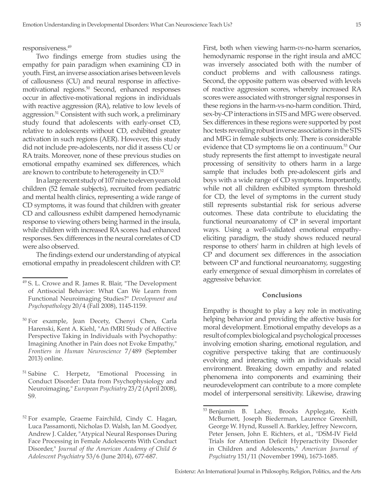responsiveness.49

Two findings emerge from studies using the empathy for pain paradigm when examining CD in youth. First, an inverse association arises between levels of callousness (CU) and neural response in affectivemotivational regions.50 Second, enhanced responses occur in affective-motivational regions in individuals with reactive aggression (RA), relative to low levels of aggression.51 Consistent with such work, a preliminary study found that adolescents with early-onset CD, relative to adolescents without CD, exhibited greater activation in such regions (AER). However, this study did not include pre-adolescents, nor did it assess CU or RA traits. Moreover, none of these previous studies on emotional empathy examined sex differences, which are known to contribute to heterogeneity in CD.<sup>52</sup>

In a large recent study of 107 nine to eleven years old children (52 female subjects), recruited from pediatric and mental health clinics, representing a wide range of CD symptoms, it was found that children with greater CD and callousness exhibit dampened hemodynamic response to viewing others being harmed in the insula, while children with increased RA scores had enhanced responses. Sex differences in the neural correlates of CD were also observed.

The findings extend our understanding of atypical emotional empathy in preadolescent children with CP.

First, both when viewing harm-*vs*-no-harm scenarios, hemodynamic response in the right insula and aMCC was inversely associated both with the number of conduct problems and with callousness ratings. Second, the opposite pattern was observed with levels of reactive aggression scores, whereby increased RA scores were associated with stronger signal responses in these regions in the harm-vs-no-harm condition. Third, sex-by-CP interactions in STS and MFG were observed. Sex differences in these regions were supported by post hoc tests revealing robust inverse associations in the STS and MFG in female subjects only. There is considerable evidence that CD symptoms lie on a continuum.53 Our study represents the first attempt to investigate neural processing of sensitivity to others harm in a large sample that includes both pre-adolescent girls and boys with a wide range of CD symptoms. Importantly, while not all children exhibited symptom threshold for CD, the level of symptoms in the current study still represents substantial risk for serious adverse outcomes. These data contribute to elucidating the functional neuroanatomy of CP in several important ways. Using a well-validated emotional empathyeliciting paradigm, the study shows reduced neural response to others' harm in children at high levels of CP and document sex differences in the association between CP and functional neuroanatomy, suggesting early emergence of sexual dimorphism in correlates of aggressive behavior.

#### **Conclusions**

Empathy is thought to play a key role in motivating helping behavior and providing the affective basis for moral development. Emotional empathy develops as a result of complex biological and psychological processes involving emotion sharing, emotional regulation, and cognitive perspective taking that are continuously evolving and interacting with an individuals social environment. Breaking down empathy and related phenomena into components and examining their neurodevelopment can contribute to a more complete model of interpersonal sensitivity. Likewise, drawing

<sup>&</sup>lt;sup>49</sup> S. L. Crowe and R. James R. Blair, "The Development of Antisocial Behavior: What Can We Learn from Functional Neuroimaging Studies?" *Development and Psychopathology* 20/4 (Fall 2008), 1145-1159.

<sup>&</sup>lt;sup>50</sup> For example, Jean Decety, Chenyi Chen, Carla Harenski, Kent A. Kiehl, "An fMRI Study of Affective Perspective Taking in Individuals with Psychopathy: Imagining Another in Pain does not Evoke Empathy," *Frontiers in Human Neuroscience* 7/489 (September 2013) online.

<sup>&</sup>lt;sup>51</sup> Sabine C. Herpetz, "Emotional Processing in Conduct Disorder: Data from Psychophysiology and Neuroimaging," *European Psychiatry* 23/2 (April 2008), S9.

<sup>&</sup>lt;sup>52</sup> For example, Graeme Fairchild, Cindy C. Hagan, Luca Passamonti, Nicholas D. Walsh, Ian M. Goodyer, Andrew J. Calder, "Atypical Neural Responses During Face Processing in Female Adolescents With Conduct Disorder," *Journal of the American Academy of Child & Adolescent Psychiatry* 53/6 (June 2014), 677-687.

<sup>53</sup> Benjamin B. Lahey, Brooks Applegate, Keith McBurnett, Joseph Biederman, Laurence Greenhill, George W. Hynd, Russell A. Barkley, Jeffrey Newcorn, Peter Jensen, John E. Richters, et al., "DSM-IV Field Trials for Attention Deficit Hyperactivity Disorder in Children and Adolescents," *American Journal of Psychiatry* 151/11 (November 1994), 1673-1685.